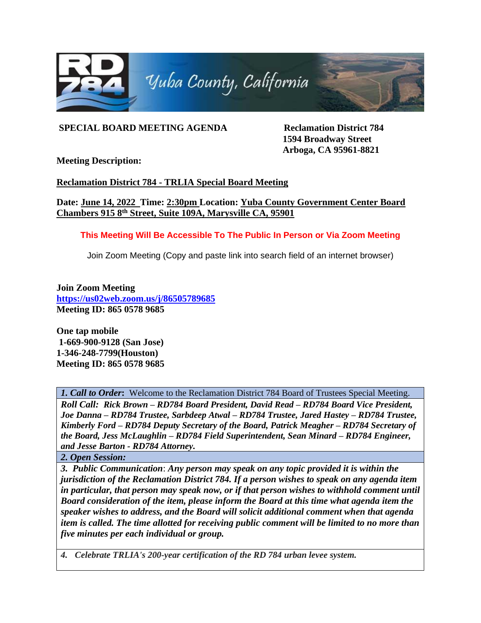

## **SPECIAL BOARD MEETING AGENDA Reclamation District 784**

**1594 Broadway Street Arboga, CA 95961-8821**

**Meeting Description:** 

## **Reclamation District 784 - TRLIA Special Board Meeting**

**Date: June 14, 2022 Time: 2:30pm Location: Yuba County Government Center Board Chambers 915 8th Street, Suite 109A, Marysville CA, 95901**

## **This Meeting Will Be Accessible To The Public In Person or Via Zoom Meeting**

Join Zoom Meeting (Copy and paste link into search field of an internet browser)

**Join Zoom Meeting <https://us02web.zoom.us/j/86505789685> Meeting ID: 865 0578 9685**

**One tap mobile 1-669-900-9128 (San Jose) 1-346-248-7799(Houston) Meeting ID: 865 0578 9685**

*1. Call to Order***:** Welcome to the Reclamation District 784 Board of Trustees Special Meeting.

*Roll Call: Rick Brown – RD784 Board President, David Read – RD784 Board Vice President, Joe Danna – RD784 Trustee, Sarbdeep Atwal – RD784 Trustee, Jared Hastey – RD784 Trustee, Kimberly Ford – RD784 Deputy Secretary of the Board, Patrick Meagher – RD784 Secretary of the Board, Jess McLaughlin – RD784 Field Superintendent, Sean Minard – RD784 Engineer, and Jesse Barton - RD784 Attorney.*

*2. Open Session:*

*3. Public Communication*: *Any person may speak on any topic provided it is within the jurisdiction of the Reclamation District 784. If a person wishes to speak on any agenda item in particular, that person may speak now, or if that person wishes to withhold comment until Board consideration of the item, please inform the Board at this time what agenda item the speaker wishes to address, and the Board will solicit additional comment when that agenda item is called. The time allotted for receiving public comment will be limited to no more than five minutes per each individual or group.*

*4. Celebrate TRLIA's 200-year certification of the RD 784 urban levee system.*